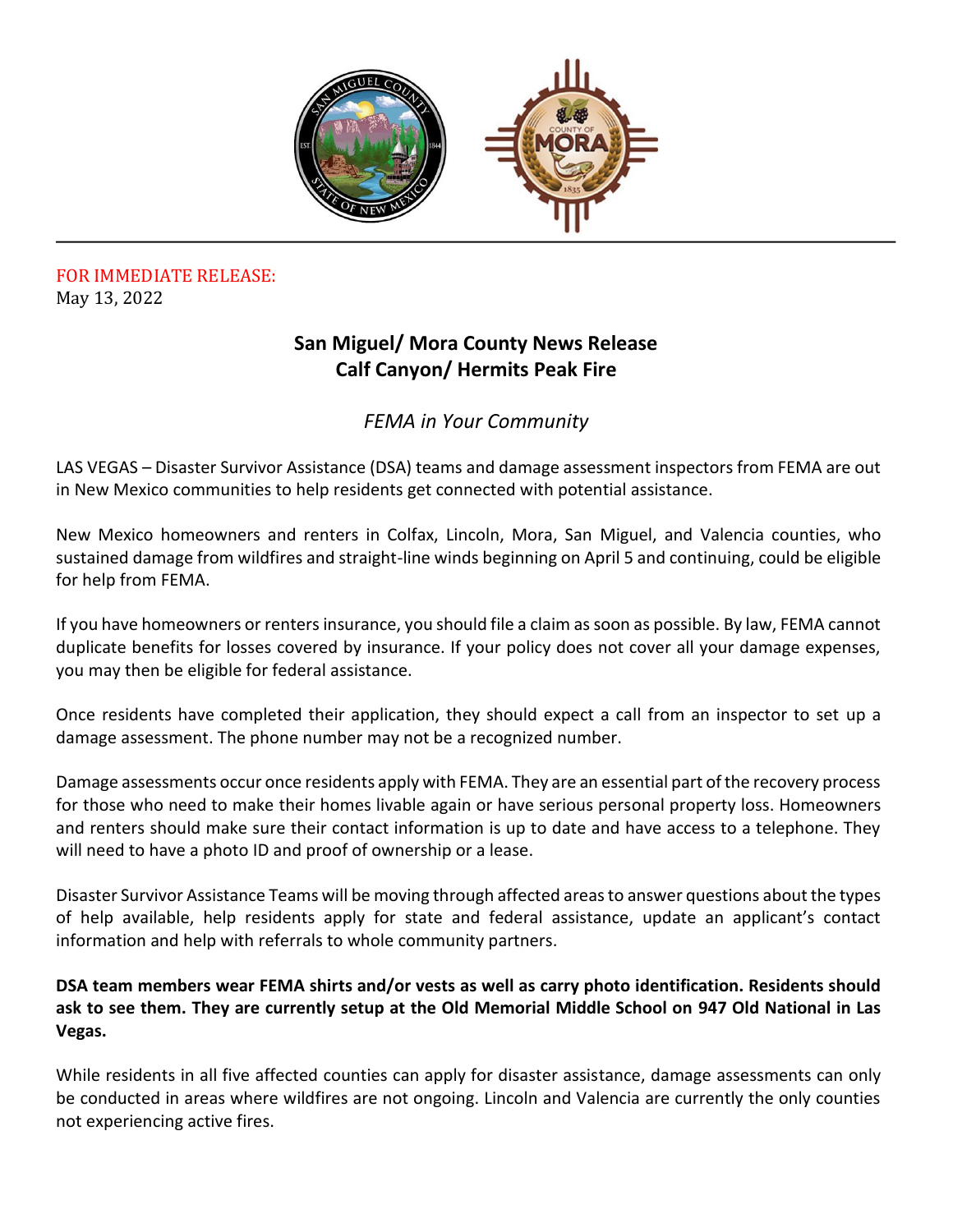

## FOR IMMEDIATE RELEASE: May 13, 2022

## **San Miguel/ Mora County News Release Calf Canyon/ Hermits Peak Fire**

## *FEMA in Your Community*

LAS VEGAS – Disaster Survivor Assistance (DSA) teams and damage assessment inspectors from FEMA are out in New Mexico communities to help residents get connected with potential assistance.

New Mexico homeowners and renters in Colfax, Lincoln, Mora, San Miguel, and Valencia counties, who sustained damage from wildfires and straight-line winds beginning on April 5 and continuing, could be eligible for help from FEMA.

If you have homeowners or renters insurance, you should file a claim as soon as possible. By law, FEMA cannot duplicate benefits for losses covered by insurance. If your policy does not cover all your damage expenses, you may then be eligible for federal assistance.

Once residents have completed their application, they should expect a call from an inspector to set up a damage assessment. The phone number may not be a recognized number.

Damage assessments occur once residents apply with FEMA. They are an essential part of the recovery process for those who need to make their homes livable again or have serious personal property loss. Homeowners and renters should make sure their contact information is up to date and have access to a telephone. They will need to have a photo ID and proof of ownership or a lease.

Disaster Survivor Assistance Teams will be moving through affected areas to answer questions about the types of help available, help residents apply for state and federal assistance, update an applicant's contact information and help with referrals to whole community partners.

**DSA team members wear FEMA shirts and/or vests as well as carry photo identification. Residents should ask to see them. They are currently setup at the Old Memorial Middle School on 947 Old National in Las Vegas.**

While residents in all five affected counties can apply for disaster assistance, damage assessments can only be conducted in areas where wildfires are not ongoing. Lincoln and Valencia are currently the only counties not experiencing active fires.